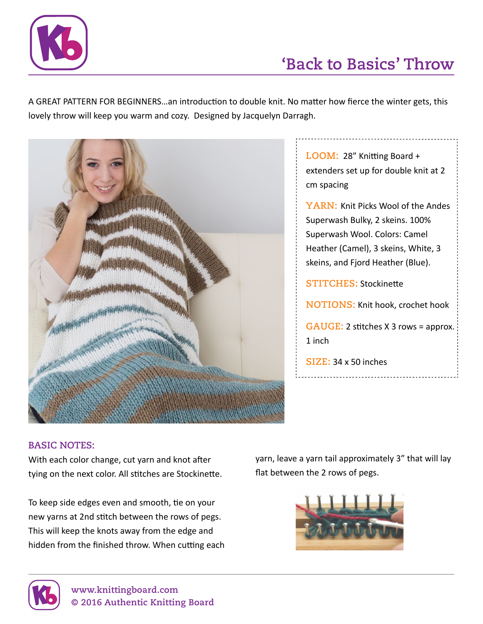

## **'Back to Basics' Throw**

A GREAT PATTERN FOR BEGINNERS…an introduction to double knit. No matter how fierce the winter gets, this lovely throw will keep you warm and cozy. Designed by Jacquelyn Darragh.



**Loom:** 28" Knitting Board + extenders set up for double knit at 2 cm spacing

**YARN: Knit Picks Wool of the Andes** Superwash Bulky, 2 skeins. 100% Superwash Wool. Colors: Camel Heather (Camel), 3 skeins, White, 3 skeins, and Fjord Heather (Blue).

**STITCHES: Stockinette** 

**NOTIONS: Knit hook, crochet hook** 

**Gauge:** 2 stitches X 3 rows = approx. 1 inch

**Size:** 34 x 50 inches

## **BASIC NOTES:**

With each color change, cut yarn and knot after tying on the next color. All stitches are Stockinette.

To keep side edges even and smooth, tie on your new yarns at 2nd stitch between the rows of pegs. This will keep the knots away from the edge and hidden from the finished throw. When cutting each yarn, leave a yarn tail approximately 3" that will lay flat between the 2 rows of pegs.



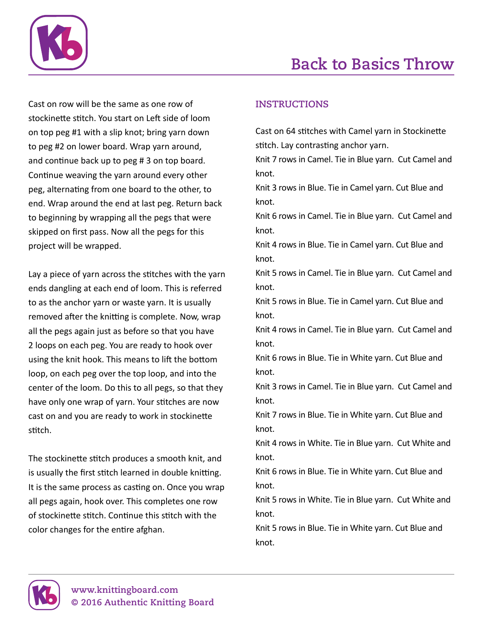

Cast on row will be the same as one row of stockinette stitch. You start on Left side of loom on top peg #1 with a slip knot; bring yarn down to peg #2 on lower board. Wrap yarn around, and continue back up to peg # 3 on top board. Continue weaving the yarn around every other peg, alternating from one board to the other, to end. Wrap around the end at last peg. Return back to beginning by wrapping all the pegs that were skipped on first pass. Now all the pegs for this project will be wrapped.

Lay a piece of yarn across the stitches with the yarn ends dangling at each end of loom. This is referred to as the anchor yarn or waste yarn. It is usually removed after the knitting is complete. Now, wrap all the pegs again just as before so that you have 2 loops on each peg. You are ready to hook over using the knit hook. This means to lift the bottom loop, on each peg over the top loop, and into the center of the loom. Do this to all pegs, so that they have only one wrap of yarn. Your stitches are now cast on and you are ready to work in stockinette stitch.

The stockinette stitch produces a smooth knit, and is usually the first stitch learned in double knitting. It is the same process as casting on. Once you wrap all pegs again, hook over. This completes one row of stockinette stitch. Continue this stitch with the color changes for the entire afghan.

## **INSTRUCTIONS**

Cast on 64 stitches with Camel yarn in Stockinette stitch. Lay contrasting anchor yarn.

Knit 7 rows in Camel. Tie in Blue yarn. Cut Camel and knot.

Knit 3 rows in Blue. Tie in Camel yarn. Cut Blue and knot.

Knit 6 rows in Camel. Tie in Blue yarn. Cut Camel and knot.

Knit 4 rows in Blue. Tie in Camel yarn. Cut Blue and knot.

Knit 5 rows in Camel. Tie in Blue yarn. Cut Camel and knot.

Knit 5 rows in Blue. Tie in Camel yarn. Cut Blue and knot.

Knit 4 rows in Camel. Tie in Blue yarn. Cut Camel and knot.

Knit 6 rows in Blue. Tie in White yarn. Cut Blue and knot.

Knit 3 rows in Camel. Tie in Blue yarn. Cut Camel and knot.

Knit 7 rows in Blue. Tie in White yarn. Cut Blue and knot.

Knit 4 rows in White. Tie in Blue yarn. Cut White and knot.

Knit 6 rows in Blue. Tie in White yarn. Cut Blue and knot.

Knit 5 rows in White. Tie in Blue yarn. Cut White and knot.

Knit 5 rows in Blue. Tie in White yarn. Cut Blue and knot.